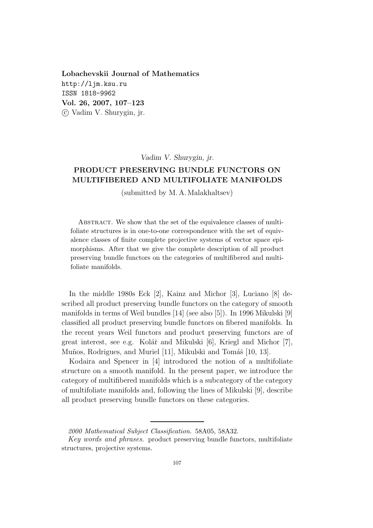Lobachevskii Journal of Mathematics http://ljm.ksu.ru ISSN 1818-9962 Vol. 26, 2007, 107–123 c Vadim V. Shurygin, jr.

Vadim V. Shurygin, jr.

# PRODUCT PRESERVING BUNDLE FUNCTORS ON MULTIFIBERED AND MULTIFOLIATE MANIFOLDS

(submitted by M. A. Malakhaltsev)

ABSTRACT. We show that the set of the equivalence classes of multifoliate structures is in one-to-one correspondence with the set of equivalence classes of finite complete projective systems of vector space epimorphisms. After that we give the complete description of all product preserving bundle functors on the categories of multifibered and multifoliate manifolds.

In the middle 1980s Eck [2], Kainz and Michor [3], Luciano [8] described all product preserving bundle functors on the category of smooth manifolds in terms of Weil bundles [14] (see also [5]). In 1996 Mikulski [9] classified all product preserving bundle functors on fibered manifolds. In the recent years Weil functors and product preserving functors are of great interest, see e.g. Kolář and Mikulski  $[6]$ , Kriegl and Michor  $[7]$ , Muños, Rodrigues, and Muriel [11], Mikulski and Tomáš [10, 13].

Kodaira and Spencer in [4] introduced the notion of a multifoliate structure on a smooth manifold. In the present paper, we introduce the category of multifibered manifolds which is a subcategory of the category of multifoliate manifolds and, following the lines of Mikulski [9], describe all product preserving bundle functors on these categories.

<sup>2000</sup> Mathematical Subject Classification. 58A05, 58A32.

Key words and phrases. product preserving bundle functors, multifoliate structures, projective systems.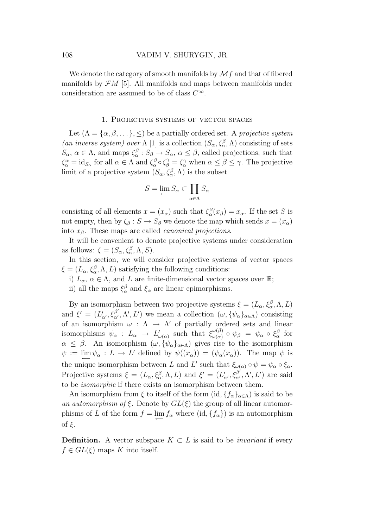We denote the category of smooth manifolds by  $\mathcal{M}f$  and that of fibered manifolds by  $\mathcal{F}M$  [5]. All manifolds and maps between manifolds under consideration are assumed to be of class  $C^{\infty}$ .

### 1. Projective systems of vector spaces

Let  $(\Lambda = {\alpha, \beta, \ldots}, {\leq})$  be a partially ordered set. A projective system (an inverse system) over  $\Lambda$  [1] is a collection  $(S_{\alpha}, \zeta_{\alpha}^{\beta}, \Lambda)$  consisting of sets  $S_{\alpha}$ ,  $\alpha \in \Lambda$ , and maps  $\zeta_{\alpha}^{\beta}: S_{\beta} \to S_{\alpha}$ ,  $\alpha \leq \beta$ , called projections, such that  $\zeta_{\alpha}^{\alpha} = \text{id}_{S_{\alpha}}$  for all  $\alpha \in \Lambda$  and  $\zeta_{\alpha}^{\beta} \circ \zeta_{\beta}^{\gamma} = \zeta_{\alpha}^{\gamma}$  when  $\alpha \leq \beta \leq \gamma$ . The projective limit of a projective system  $(S_{\alpha}, \zeta_{\alpha}^{\beta}, \Lambda)$  is the subset

$$
S = \lim_{\leftarrow} S_{\alpha} \subset \prod_{\alpha \in \Lambda} S_{\alpha}
$$

consisting of all elements  $x = (x_{\alpha})$  such that  $\zeta_{\alpha}^{\beta}(x_{\beta}) = x_{\alpha}$ . If the set S is not empty, then by  $\zeta_{\beta}: S \to S_{\beta}$  we denote the map which sends  $x = (x_{\alpha})$ into  $x_\beta$ . These maps are called *canonical projections*.

It will be convenient to denote projective systems under consideration as follows:  $\zeta = (S_{\alpha}, \zeta_{\alpha}^{\beta}, \Lambda, S).$ 

In this section, we will consider projective systems of vector spaces  $\xi = (L_{\alpha}, \xi_{\alpha}^{\beta}, \Lambda, L)$  satisfying the following conditions:

- i)  $L_{\alpha}$ ,  $\alpha \in \Lambda$ , and L are finite-dimensional vector spaces over  $\mathbb{R}$ ;
- ii) all the maps  $\xi_{\alpha}^{\beta}$  and  $\xi_{\alpha}$  are linear epimorphisms.

By an isomorphism between two projective systems  $\xi = (L_{\alpha}, \xi_{\alpha}^{\beta}, \Lambda, L)$ and  $\xi' = (L'_{\alpha'}, \xi_{\alpha'}^{\beta'}, \Lambda', L')$  we mean a collection  $(\omega, {\{\psi_{\alpha}\}}_{\alpha \in \Lambda})$  consisting of an isomorphism  $\omega : \Lambda \to \Lambda'$  of partially ordered sets and linear isomorphisms  $\psi_{\alpha} : L_{\alpha} \to L'_{\alpha}$  $\int_{\omega(\alpha)}^{\prime}$  such that  $\xi_{\omega(\alpha)}^{\omega(\beta)}$  $\frac{\omega(\beta)}{\omega(\alpha)}$  ο  $\psi_{\beta} = \psi_{\alpha}$  ο ξ $_{\alpha}^{\beta}$  for  $\alpha \leq \beta$ . An isomorphism  $(\omega, \tilde{\psi}_{\alpha}]_{\alpha \in \Lambda}$  gives rise to the isomorphism  $\psi := \lim_{\leftarrow} \psi_{\alpha} : L \to L'$  defined by  $\psi((x_{\alpha})) = (\psi_{\alpha}(x_{\alpha}))$ . The map  $\psi$  is the unique isomorphism between L and L' such that  $\xi_{\omega(\alpha)} \circ \psi = \psi_{\alpha} \circ \xi_{\alpha}$ . Projective systems  $\xi = (L_{\alpha}, \xi_{\alpha}^{\beta}, \Lambda, L)$  and  $\xi' = (L'_{\alpha'}, \xi_{\alpha'}^{\beta'}, \Lambda', L')$  are said to be isomorphic if there exists an isomorphism between them.

An isomorphism from  $\xi$  to itself of the form  $(id, {f_\alpha}_{\alpha\in\Lambda})$  is said to be an automorphism of  $\xi$ . Denote by  $GL(\xi)$  the group of all linear automorphisms of L of the form  $f = \lim_{\longleftarrow} f_\alpha$  where  $(id, \{f_\alpha\})$  is an automorphism of  $\xi$ .

**Definition.** A vector subspace  $K \subset L$  is said to be *invariant* if every  $f \in GL(\xi)$  maps K into itself.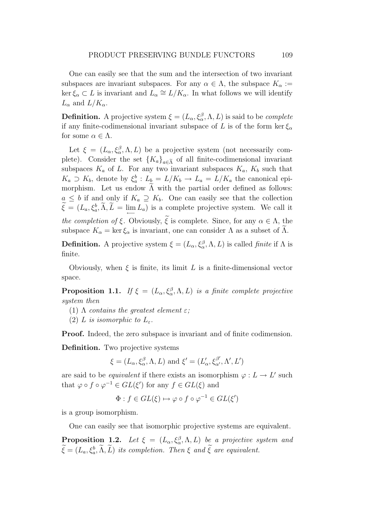One can easily see that the sum and the intersection of two invariant subspaces are invariant subspaces. For any  $\alpha \in \Lambda$ , the subspace  $K_{\alpha} :=$ ker  $\xi_{\alpha} \subset L$  is invariant and  $L_{\alpha} \cong L/K_{\alpha}$ . In what follows we will identify  $L_{\alpha}$  and  $L/K_{\alpha}$ .

**Definition.** A projective system  $\xi = (L_{\alpha}, \xi_{\alpha}^{\beta}, \Lambda, L)$  is said to be *complete* if any finite-codimensional invariant subspace of L is of the form ker  $\xi_{\alpha}$ for some  $\alpha \in \Lambda$ .

Let  $\xi = (L_{\alpha}, \xi_{\alpha}^{\beta}, \Lambda, L)$  be a projective system (not necessarily complete). Consider the set  ${K_a}_{a \in \tilde{\Lambda}}$  of all finite-codimensional invariant subspaces  $K_a$  of L. For any two invariant subspaces  $K_a$ ,  $K_b$  such that  $K_a \supset K_b$ , denote by  $\xi_a^b : L_b = L/K_b \to L_a = L/K_a$  the canonical epimorphism. Let us endow  $\tilde{\Lambda}$  with the partial order defined as follows:  $a \leq b$  if and only if  $K_a \supseteq K_b$ . One can easily see that the collection  $\widehat{\xi} = (L_a, \xi_a^b, \Lambda, L = \lim_{\longleftarrow} L_a)$  is a complete projective system. We call it the completion of ξ. Obviously,  $\tilde{\xi}$  is complete. Since, for any  $\alpha \in \Lambda$ , the subspace  $K_{\alpha} = \ker \xi_{\alpha}$  is invariant, one can consider  $\Lambda$  as a subset of  $\widetilde{\Lambda}$ .

**Definition.** A projective system  $\xi = (L_{\alpha}, \xi_{\alpha}^{\beta}, \Lambda, L)$  is called *finite* if  $\Lambda$  is finite.

Obviously, when  $\xi$  is finite, its limit L is a finite-dimensional vector space.

**Proposition 1.1.** If  $\xi = (L_{\alpha}, \xi_{\alpha}^{\beta}, \Lambda, L)$  is a finite complete projective system then

- (1)  $\Lambda$  contains the greatest element  $\varepsilon$ ;
- (2) L is isomorphic to  $L_{\varepsilon}$ .

Proof. Indeed, the zero subspace is invariant and of finite codimension.

Definition. Two projective systems

$$
\xi=(L_\alpha,\xi_\alpha^\beta,\Lambda,L)\text{ and }\xi'=(L'_\alpha,\xi_{\alpha'}^{\beta'},\Lambda',L')
$$

are said to be *equivalent* if there exists an isomorphism  $\varphi: L \to L'$  such that  $\varphi \circ f \circ \varphi^{-1} \in GL(\xi')$  for any  $f \in GL(\xi)$  and

$$
\Phi: f \in GL(\xi) \mapsto \varphi \circ f \circ \varphi^{-1} \in GL(\xi')
$$

is a group isomorphism.

One can easily see that isomorphic projective systems are equivalent.

**Proposition 1.2.** Let  $\xi = (L_{\alpha}, \xi_{\alpha}^{\beta}, \Lambda, L)$  be a projective system and  $\widehat{\xi} = (L_a, \xi_a^b, \Lambda, L)$  its completion. Then  $\xi$  and  $\xi$  are equivalent.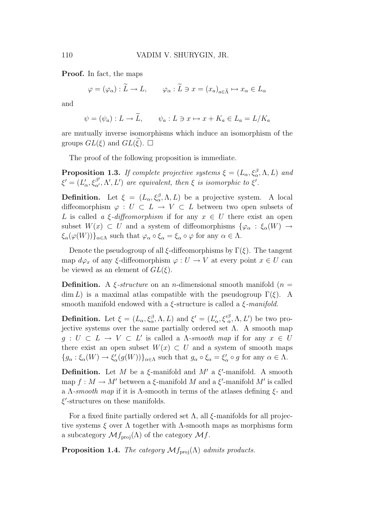Proof. In fact, the maps

$$
\varphi = (\varphi_{\alpha}) : \widetilde{L} \to L, \qquad \varphi_{\alpha} : \widetilde{L} \ni x = (x_{a})_{a \in \widetilde{\Lambda}} \mapsto x_{\alpha} \in L_{\alpha}
$$

and

$$
\psi = (\psi_a) : L \to \tilde{L}, \qquad \psi_a : L \ni x \mapsto x + K_a \in L_a = L/K_a
$$

are mutually inverse isomorphisms which induce an isomorphism of the groups  $GL(\xi)$  and  $GL(\xi)$ .  $\square$ 

The proof of the following proposition is immediate.

**Proposition 1.3.** If complete projective systems  $\xi = (L_{\alpha}, \xi_{\alpha}^{\beta}, \Lambda, L)$  and  $\xi' = (L'_c)$  $\mathcal{L}_{\alpha}, \mathcal{E}_{\alpha'}^{\beta'} , \Lambda', L'$  are equivalent, then  $\xi$  is isomorphic to  $\xi'.$ 

**Definition.** Let  $\xi = (L_{\alpha}, \xi_{\alpha}^{\beta}, \Lambda, L)$  be a projective system. A local diffeomorphism  $\varphi : U \subset L \to V \subset L$  between two open subsets of L is called a  $\xi$ -diffeomorphism if for any  $x \in U$  there exist an open subset  $W(x) \subset U$  and a system of diffeomorphisms  $\{\varphi_{\alpha} : \xi_{\alpha}(W) \to$  $\xi_{\alpha}(\varphi(W))\}_{\alpha\in\Lambda}$  such that  $\varphi_{\alpha}\circ\xi_{\alpha}=\xi_{\alpha}\circ\varphi$  for any  $\alpha\in\Lambda$ .

Denote the pseudogroup of all  $\xi$ -diffeomorphisms by  $\Gamma(\xi)$ . The tangent map  $d\varphi_x$  of any  $\xi$ -diffeomorphism  $\varphi: U \to V$  at every point  $x \in U$  can be viewed as an element of  $GL(\xi)$ .

**Definition.** A  $\xi$ -structure on an *n*-dimensional smooth manifold (*n* =  $\dim L$ ) is a maximal atlas compatible with the pseudogroup  $\Gamma(\xi)$ . A smooth manifold endowed with a  $\xi$ -structure is called a  $\xi$ -manifold.

**Definition.** Let  $\xi = (L_{\alpha}, \xi_{\alpha}^{\beta}, \Lambda, L)$  and  $\xi' = (L'_{\alpha})^{\beta}$  $\zeta_\alpha, \xi'^\beta_{\alpha}, \Lambda, L'$ ) be two projective systems over the same partially ordered set  $\Lambda$ . A smooth map  $g: U \subset L \to V \subset L'$  is called a  $\Lambda$ -smooth map if for any  $x \in U$ there exist an open subset  $W(x) \subset U$  and a system of smooth maps  ${g_{\alpha} : \xi_{\alpha}(W) \to \xi'_{\alpha}}$  $\mathcal{L}_{\alpha}(g(W))\}_{\alpha \in \Lambda}$  such that  $g_{\alpha} \circ \xi_{\alpha} = \xi'_{\alpha}$  $a'_{\alpha} \circ g$  for any  $\alpha \in \Lambda$ .

**Definition.** Let M be a  $\xi$ -manifold and M' a  $\xi'$ -manifold. A smooth map  $f: M \to M'$  between a  $\xi$ -manifold M and a  $\xi'$ -manifold M' is called a  $\Lambda$ -smooth map if it is  $\Lambda$ -smooth in terms of the atlases defining  $\xi$ - and ξ ′ -structures on these manifolds.

For a fixed finite partially ordered set  $\Lambda$ , all  $\xi$ -manifolds for all projective systems  $\xi$  over  $\Lambda$  together with  $\Lambda$ -smooth maps as morphisms form a subcategory  $\mathcal{M}f_{\text{proj}}(\Lambda)$  of the category  $\mathcal{M}f$ .

**Proposition 1.4.** The category  $\mathcal{M}$  $f_{\text{proj}}(\Lambda)$  admits products.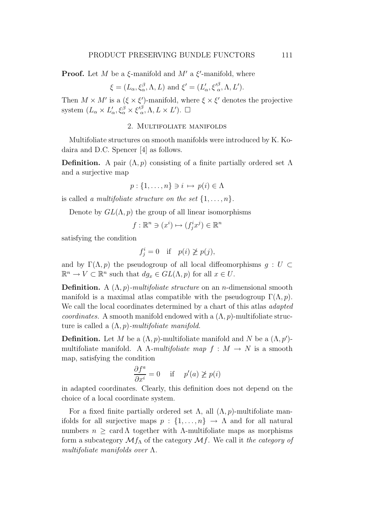**Proof.** Let M be a  $\xi$ -manifold and M' a  $\xi'$ -manifold, where

$$
\xi = (L_{\alpha}, \xi_{\alpha}^{\beta}, \Lambda, L)
$$
 and  $\xi' = (L'_{\alpha}, \xi'_{\alpha}^{\beta}, \Lambda, L').$ 

Then  $M \times M'$  is a  $(\xi \times \xi')$ -manifold, where  $\xi \times \xi'$  denotes the projective system  $(L_{\alpha} \times L'_{\alpha})$  $\zeta'_\alpha, \xi^\beta_\alpha \times {\xi'}^\beta_\alpha$  $_{\alpha}^{\beta}, \Lambda, L \times L'$ ).  $\square$ 

### 2. Multifoliate manifolds

Multifoliate structures on smooth manifolds were introduced by K. Kodaira and D.C. Spencer [4] as follows.

**Definition.** A pair  $(\Lambda, p)$  consisting of a finite partially ordered set  $\Lambda$ and a surjective map

$$
p: \{1, \ldots, n\} \ni i \mapsto p(i) \in \Lambda
$$

is called a multifoliate structure on the set  $\{1, \ldots, n\}$ .

Denote by  $GL(\Lambda, p)$  the group of all linear isomorphisms

$$
f: \mathbb{R}^n \ni (x^i) \mapsto (f^i_j x^j) \in \mathbb{R}^n
$$

satisfying the condition

$$
f_j^i = 0 \quad \text{if} \quad p(i) \not\geq p(j),
$$

and by  $\Gamma(\Lambda, p)$  the pseudogroup of all local diffeomorphisms  $g : U \subset$  $\mathbb{R}^n \to V \subset \mathbb{R}^n$  such that  $dg_x \in GL(\Lambda, p)$  for all  $x \in U$ .

**Definition.** A  $(\Lambda, p)$ -multifoliate structure on an n-dimensional smooth manifold is a maximal atlas compatible with the pseudogroup  $\Gamma(\Lambda, p)$ . We call the local coordinates determined by a chart of this atlas *adapted coordinates.* A smooth manifold endowed with a  $(\Lambda, p)$ -multifoliate structure is called a  $(\Lambda, p)$ -multifoliate manifold.

**Definition.** Let M be a  $(\Lambda, p)$ -multifoliate manifold and N be a  $(\Lambda, p')$ multifoliate manifold. A  $\Lambda$ -multifoliate map  $f : M \to N$  is a smooth map, satisfying the condition

$$
\frac{\partial f^a}{\partial x^i} = 0 \quad \text{if} \quad p'(a) \not\ge p(i)
$$

in adapted coordinates. Clearly, this definition does not depend on the choice of a local coordinate system.

For a fixed finite partially ordered set  $\Lambda$ , all  $(\Lambda, p)$ -multifoliate manifolds for all surjective maps  $p : \{1, \ldots, n\} \rightarrow \Lambda$  and for all natural numbers  $n \geq \text{card } \Lambda$  together with  $\Lambda$ -multifoliate maps as morphisms form a subcategory  $\mathcal{M}_{\Lambda}$  of the category  $\mathcal{M}_{\Lambda}$ . We call it the category of multifoliate manifolds over  $\Lambda$ .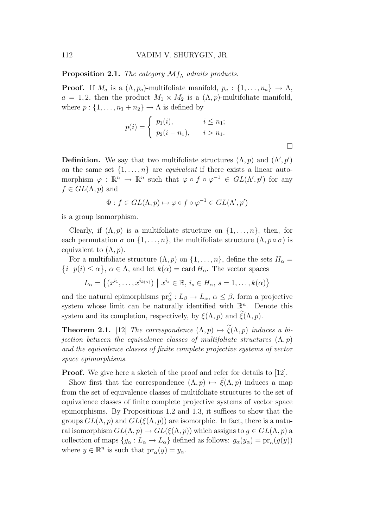**Proposition 2.1.** The category  $\mathcal{M}_{f\Lambda}$  admits products.

**Proof.** If  $M_a$  is a  $(\Lambda, p_a)$ -multifoliate manifold,  $p_a: \{1, \ldots, n_a\} \to \Lambda$ ,  $a = 1, 2$ , then the product  $M_1 \times M_2$  is a  $(\Lambda, p)$ -multifoliate manifold, where  $p: \{1, \ldots, n_1 + n_2\} \to \Lambda$  is defined by

$$
p(i) = \begin{cases} p_1(i), & i \leq n_1; \\ p_2(i - n_1), & i > n_1. \end{cases}
$$

**Definition.** We say that two multifoliate structures  $(\Lambda, p)$  and  $(\Lambda', p')$ on the same set  $\{1, \ldots, n\}$  are *equivalent* if there exists a linear automorphism  $\varphi : \mathbb{R}^n \to \mathbb{R}^n$  such that  $\varphi \circ f \circ \varphi^{-1} \in GL(\Lambda', p')$  for any  $f \in GL(\Lambda, p)$  and

$$
\Phi: f \in GL(\Lambda, p) \mapsto \varphi \circ f \circ \varphi^{-1} \in GL(\Lambda', p')
$$

is a group isomorphism.

Clearly, if  $(\Lambda, p)$  is a multifoliate structure on  $\{1, \ldots, n\}$ , then, for each permutation  $\sigma$  on  $\{1, \ldots, n\}$ , the multifoliate structure  $(\Lambda, p \circ \sigma)$  is equivalent to  $(\Lambda, p)$ .

For a multifoliate structure  $(\Lambda, p)$  on  $\{1, \ldots, n\}$ , define the sets  $H_{\alpha} =$  $i | p(i) \leq \alpha$ ,  $\alpha \in \Lambda$ , and let  $k(\alpha) = \text{card } H_{\alpha}$ . The vector spaces

 $L_{\alpha} = \{(x^{i_1}, \ldots, x^{i_{k(\alpha)}}) \mid x^{i_s} \in \mathbb{R}, i_s \in H_{\alpha}, s = 1, \ldots, k(\alpha)\}\$ 

and the natural epimorphisms  $pr_{\alpha}^{\beta}: L_{\beta} \to L_{\alpha}, \alpha \leq \beta$ , form a projective system whose limit can be naturally identified with  $\mathbb{R}^n$ . Denote this system and its completion, respectively, by  $\xi(\Lambda, p)$  and  $\xi(\Lambda, p)$ .

**Theorem 2.1.** [12] The correspondence  $(\Lambda, p) \mapsto \tilde{\xi}(\Lambda, p)$  induces a bi*iection between the equivalence classes of multifoliate structures*  $(\Lambda, p)$ and the equivalence classes of finite complete projective systems of vector space epimorphisms.

**Proof.** We give here a sketch of the proof and refer for details to [12].

Show first that the correspondence  $(\Lambda, p) \mapsto \xi(\Lambda, p)$  induces a map from the set of equivalence classes of multifoliate structures to the set of equivalence classes of finite complete projective systems of vector space epimorphisms. By Propositions 1.2 and 1.3, it suffices to show that the groups  $GL(\Lambda, p)$  and  $GL(\xi(\Lambda, p))$  are isomorphic. In fact, there is a natural isomorphism  $GL(\Lambda, p) \to GL(\xi(\Lambda, p))$  which assigns to  $g \in GL(\Lambda, p)$  a collection of maps  $\{g_{\alpha}: L_{\alpha} \to L_{\alpha}\}\$ defined as follows:  $g_{\alpha}(y_{\alpha}) = \text{pr}_{\alpha}(g(y))$ where  $y \in \mathbb{R}^n$  is such that  $pr_\alpha(y) = y_\alpha$ .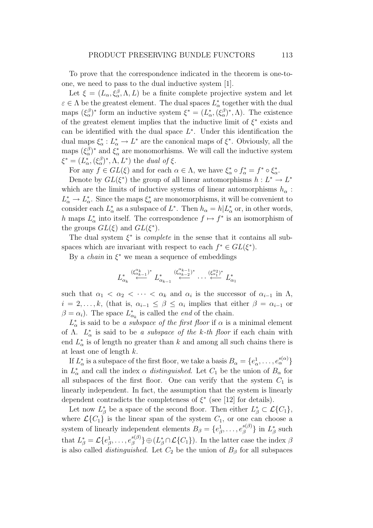To prove that the correspondence indicated in the theorem is one-toone, we need to pass to the dual inductive system [1].

Let  $\xi = (L_{\alpha}, \xi_{\alpha}^{\beta}, \Lambda, L)$  be a finite complete projective system and let  $\varepsilon \in \Lambda$  be the greatest element. The dual spaces  $L^*_{\alpha}$  $\alpha^*$  together with the dual maps  $(\xi_{\alpha}^{\beta})^*$  form an inductive system  $\xi^* = (L_{\alpha}^*$  $\chi^*_{\alpha}$ ,  $(\xi_{\alpha}^{\beta})^*$ ,  $\Lambda$ ). The existence of the greatest element implies that the inductive limit of  $\xi^*$  exists and can be identified with the dual space  $L^*$ . Under this identification the dual maps  $\xi^*_{\alpha}$  $\chi^*_{\alpha}: L^*_{\alpha} \to L^*$  are the canonical maps of  $\xi^*$ . Obviously, all the maps  $(\xi_{\alpha}^{\beta})^*$  and  $\xi_{\alpha}^*$  $_{\alpha}^{*}$  are monomorhisms. We will call the inductive system  $\xi^* = (L^*_\alpha$  $_{\alpha}^{\ast},(\xi_{\alpha}^{\beta})^{\ast},\Lambda,L^{\ast})$  the *dual of*  $\xi$ .

For any  $f \in GL(\xi)$  and for each  $\alpha \in \Lambda$ , we have  $\xi_{\alpha}^* \circ f_{\alpha}^* = f^* \circ \xi_{\alpha}^*$ \*<br>α'

Denote by  $GL(\xi^*)$  the group of all linear automorphisms  $h: L^* \to L^*$ which are the limits of inductive systems of linear automorphisms  $h_{\alpha}$ :  $L^*_{\alpha} \to L^*_{\alpha}$ \*. Since the maps  $\xi^*_{\alpha}$  $\alpha^*$  are monomorphisms, it will be convenient to consider each  $L^*_{\alpha}$ \* as a subspace of  $L^*$ . Then  $h_{\alpha} = h | L_{\alpha}^*$  $_{\alpha}^*$  or, in other words, h maps  $L_0^*$ \* into itself. The correspondence  $f \mapsto f^*$  is an isomorphism of the groups  $GL(\xi)$  and  $GL(\xi^*)$ .

The dual system  $\xi^*$  is *complete* in the sense that it contains all subspaces which are invariant with respect to each  $f^* \in GL(\xi^*)$ .

By a *chain* in  $\xi^*$  we mean a sequence of embeddings

$$
L^*_{\alpha_k} \stackrel{(\xi^{\alpha_k}_{\alpha_{k-1}})^*}{\leftarrow} L^*_{\alpha_{k-1}} \stackrel{(\xi^{\alpha_{k-1}}_{\alpha_{k-2}})^*}{\leftarrow} \cdots \stackrel{(\xi^{\alpha_2}_{\alpha_1})^*}{\leftarrow} L^*_{\alpha_1}
$$

such that  $\alpha_1 < \alpha_2 < \cdots < \alpha_k$  and  $\alpha_i$  is the successor of  $\alpha_{i-1}$  in  $\Lambda$ ,  $i = 2, \ldots, k$ , (that is,  $\alpha_{i-1} \leq \beta \leq \alpha_i$  implies that either  $\beta = \alpha_{i-1}$  or  $\beta = \alpha_i$ ). The space  $L^*_{\alpha}$  $\alpha_k^*$  is called the *end* of the chain.

 $L^*_{\alpha}$  $\alpha^*$  is said to be a subspace of the first floor if  $\alpha$  is a minimal element of  $\Lambda$ .  $L^*_{\alpha}$  $\alpha^*$  is said to be a subspace of the k-th floor if each chain with end  $L^*_{\alpha}$  $\frac{k}{\alpha}$  is of length no greater than k and among all such chains there is at least one of length k.

If  $L^*_{\alpha}$ <sup>\*</sup> is a subspace of the first floor, we take a basis  $B_{\alpha} = \{e_{\alpha}^1, \dots, e_{\alpha}^{s(\alpha)}\}$ in  $L^*_{\alpha}$  $\alpha^*$  and call the index  $\alpha$  *distinguished*. Let  $C_1$  be the union of  $B_\alpha$  for all subspaces of the first floor. One can verify that the system  $C_1$  is linearly independent. In fact, the assumption that the system is linearly dependent contradicts the completeness of  $\xi^*$  (see [12] for details).

Let now  $L^*_{\beta}$  be a space of the second floor. Then either  $L^*_{\beta} \subset \mathcal{L}\{C_1\}$ , where  $\mathcal{L}{C_1}$  is the linear span of the system  $C_1$ , or one can choose a system of linearly independent elements  $B_{\beta} = \{e_{\beta}^1, \ldots, e_{\beta}^{s(\beta)}\}$  $_{\beta}^{s(\beta)}\}$  in  $L_{\beta}^*$  $^*_{\beta}$  such that  $L^*_{\beta} = \mathcal{L}\{e^1_{\beta}, \ldots, e^{s(\beta)}_{\beta}\}$  $\{S^{(\beta)}_{\beta}\}\oplus (L^*_{\beta}\cap \mathcal{L}\{C_1\})$ . In the latter case the index  $\beta$ is also called *distinguished*. Let  $C_2$  be the union of  $B_\beta$  for all subspaces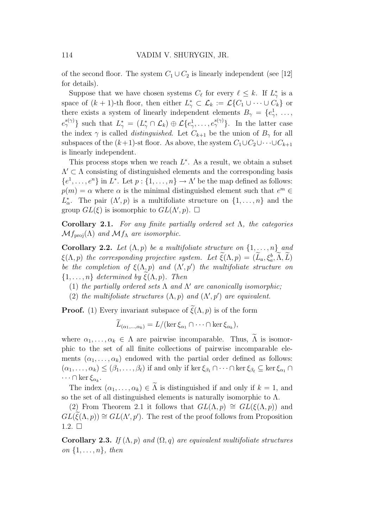of the second floor. The system  $C_1 \cup C_2$  is linearly independent (see [12] for details).

Suppose that we have chosen systems  $C_{\ell}$  for every  $\ell \leq k$ . If  $L_{\gamma}^*$  $_{\gamma}^{*}$  is a space of  $(k+1)$ -th floor, then either  $L^*_{\gamma} \subset \mathcal{L}_k := \mathcal{L}\{C_1 \cup \cdots \cup C_k\}$  or there exists a system of linearly independent elements  $B_{\gamma} = \{e_{\gamma}^1, \ldots, e_{\gamma}\}$  $e_{\gamma}^{s(\gamma)}\}$  such that  $L_{\gamma}^* = (L_{\gamma}^* \cap \mathcal{L}_k) \oplus \mathcal{L}\{e_{\gamma}^1, \ldots, e_{\gamma}^{s(\gamma)}\}$ . In the latter case the index  $\gamma$  is called *distinguished*. Let  $C_{k+1}$  be the union of  $B_{\gamma}$  for all subspaces of the  $(k+1)$ -st floor. As above, the system  $C_1\cup C_2\cup\cdots\cup C_{k+1}$ is linearly independent.

This process stops when we reach  $L^*$ . As a result, we obtain a subset  $\Lambda' \subset \Lambda$  consisting of distinguished elements and the corresponding basis  $\{e^1, \ldots, e^n\}$  in  $L^*$ . Let  $p: \{1, \ldots, n\} \to \Lambda'$  be the map defined as follows:  $p(m) = \alpha$  where  $\alpha$  is the minimal distinguished element such that  $e^m \in$  $L^*_{\alpha}$ <sup>\*</sup><sub>α</sub>. The pair  $(\Lambda', p)$  is a multifoliate structure on  $\{1, \ldots, n\}$  and the group  $GL(\xi)$  is isomorphic to  $GL(\Lambda', p)$ .  $\square$ 

Corollary 2.1. For any finite partially ordered set  $\Lambda$ , the categories  $\mathcal{M}f_{\text{proj}}(\Lambda)$  and  $\mathcal{M}f_{\Lambda}$  are isomorphic.

Corollary 2.2. Let  $(\Lambda, p)$  be a multifoliate structure on  $\{1, \ldots, n\}$  and  $\xi(\Lambda, p)$  the corresponding projective system. Let  $\xi(\Lambda, p) = (L_a, \xi_a^b, \Lambda, L)$ be the completion of  $\xi(\Lambda, p)$  and  $(\Lambda', p')$  the multifoliate structure on  $\{1, \ldots, n\}$  determined by  $\xi(\Lambda, p)$ . Then

- (1) the partially ordered sets  $\Lambda$  and  $\Lambda'$  are canonically isomorphic;
- (2) the multifoliate structures  $(\Lambda, p)$  and  $(\Lambda', p')$  are equivalent.

**Proof.** (1) Every invariant subspace of  $\tilde{\xi}(\Lambda, p)$  is of the form

$$
L_{(\alpha_1,\ldots,\alpha_k)}=L/(\ker \xi_{\alpha_1}\cap\cdots\cap\ker \xi_{\alpha_k}),
$$

where  $\alpha_1, \ldots, \alpha_k \in \Lambda$  are pairwise incomparable. Thus,  $\widetilde{\Lambda}$  is isomorphic to the set of all finite collections of pairwise incomparable elements  $(\alpha_1, \ldots, \alpha_k)$  endowed with the partial order defined as follows:  $(\alpha_1,\ldots,\alpha_k)\leq (\beta_1,\ldots,\beta_\ell)$  if and only if ker  $\xi_{\beta_1}\cap\cdots\cap\ker\xi_{\beta_\ell}\subseteq \ker\xi_{\alpha_1}\cap\cdots$  $\cdots \cap \ker \xi_{\alpha_k}$ .

The index  $(\alpha_1, \ldots, \alpha_k) \in \Lambda$  is distinguished if and only if  $k = 1$ , and so the set of all distinguished elements is naturally isomorphic to  $\Lambda$ .

(2) From Theorem 2.1 it follows that  $GL(\Lambda, p) \cong GL(\xi(\Lambda, p))$  and  $GL(\widetilde{\xi}(\Lambda, p)) \cong GL(\Lambda', p').$  The rest of the proof follows from Proposition 1.2.  $\square$ 

Corollary 2.3. If  $(\Lambda, p)$  and  $(\Omega, q)$  are equivalent multifoliate structures on  $\{1, \ldots, n\}$ , then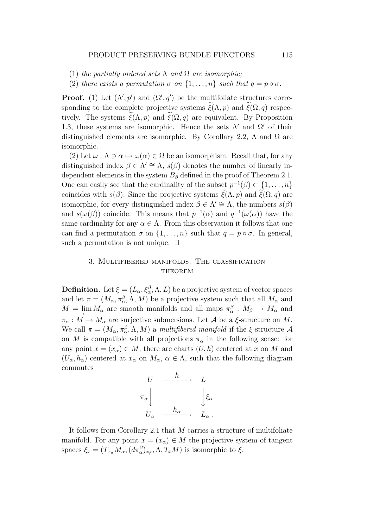- (1) the partially ordered sets  $\Lambda$  and  $\Omega$  are isomorphic:
- (2) there exists a permutation  $\sigma$  on  $\{1,\ldots,n\}$  such that  $q=p\circ\sigma$ .

**Proof.** (1) Let  $(\Lambda', p')$  and  $(\Omega', q')$  be the multifoliate structures corresponding to the complete projective systems  $\xi(\Lambda, p)$  and  $\xi(\Omega, q)$  respectively. The systems  $\tilde{\xi}(\Lambda, p)$  and  $\tilde{\xi}(\Omega, q)$  are equivalent. By Proposition 1.3, these systems are isomorphic. Hence the sets  $\Lambda'$  and  $\Omega'$  of their distinguished elements are isomorphic. By Corollary 2.2,  $\Lambda$  and  $\Omega$  are isomorphic.

(2) Let  $\omega : \Lambda \ni \alpha \mapsto \omega(\alpha) \in \Omega$  be an isomorphism. Recall that, for any distinguished index  $\beta \in \Lambda' \cong \Lambda$ ,  $s(\beta)$  denotes the number of linearly independent elements in the system  $B_\beta$  defined in the proof of Theorem 2.1. One can easily see that the cardinality of the subset  $p^{-1}(\beta) \subset \{1, \ldots, n\}$ coincides with  $s(\beta)$ . Since the projective systems  $\xi(\Lambda, p)$  and  $\xi(\Omega, q)$  are isomorphic, for every distinguished index  $\beta \in \Lambda' \cong \Lambda$ , the numbers  $s(\beta)$ and  $s(\omega(\beta))$  coincide. This means that  $p^{-1}(\alpha)$  and  $q^{-1}(\omega(\alpha))$  have the same cardinality for any  $\alpha \in \Lambda$ . From this observation it follows that one can find a permutation  $\sigma$  on  $\{1, \ldots, n\}$  such that  $q = p \circ \sigma$ . In general, such a permutation is not unique.  $\square$ 

## 3. Multifibered manifolds. The classification **THEOREM**

**Definition.** Let  $\xi = (L_{\alpha}, \xi_{\alpha}^{\beta}, \Lambda, L)$  be a projective system of vector spaces and let  $\pi = (M_{\alpha}, \pi_{\alpha}^{\beta}, \Lambda, M)$  be a projective system such that all  $M_{\alpha}$  and  $M = \lim_{\leftarrow} M_{\alpha}$  are smooth manifolds and all maps  $\pi_{\alpha}^{\beta}: M_{\beta} \to M_{\alpha}$  and  $\pi_{\alpha}: M \to M_{\alpha}$  are surjective submersions. Let A be a  $\xi$ -structure on M. We call  $\pi = (M_\alpha, \pi_\alpha^\beta, \Lambda, M)$  a multifibered manifold if the  $\xi$ -structure  $\mathcal A$ on M is compatible with all projections  $\pi_{\alpha}$  in the following sense: for any point  $x = (x_{\alpha}) \in M$ , there are charts  $(U, h)$  centered at x on M and  $(U_{\alpha}, h_{\alpha})$  centered at  $x_{\alpha}$  on  $M_{\alpha}, \alpha \in \Lambda$ , such that the following diagram commutes

$$
\begin{array}{ccc}\nU & \xrightarrow{h} & L \\
\pi_{\alpha} & & \downarrow \xi_{\alpha} \\
U_{\alpha} & \xrightarrow{h_{\alpha}} & L_{\alpha} \,.\n\end{array}
$$

It follows from Corollary 2.1 that M carries a structure of multifoliate manifold. For any point  $x = (x_\alpha) \in M$  the projective system of tangent spaces  $\xi_x = (T_{x_\alpha} M_\alpha, (d\pi_\alpha^\beta)_{x_\beta}, \Lambda, T_x M)$  is isomorphic to  $\xi$ .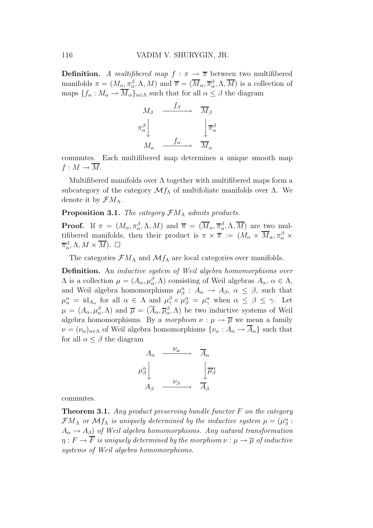**Definition.** A multifibered map  $f : \pi \to \overline{\pi}$  between two multifibered manifolds  $\pi = (M_\alpha, \pi^\beta_\alpha, \Lambda, M)$  and  $\overline{\pi} = (\overline{M}_\alpha, \overline{\pi}^\beta_\alpha, \Lambda, \overline{M})$  is a collection of maps  ${f_\alpha : M_\alpha \to \overline{M}_\alpha}_{\alpha \in \Lambda}$  such that for all  $\alpha \leq \beta$  the diagram



commutes. Each multifibered map determines a unique smooth map  $f: M \to \overline{M}$ .

Multifibered manifolds over  $\Lambda$  together with multifibered maps form a subcategory of the category  $\mathcal{M}_{\Lambda}$  of multifoliate manifolds over  $\Lambda$ . We denote it by  $\mathcal{F}M_{\Lambda}$ .

### **Proposition 3.1.** The category  $\mathcal{F}M_\Lambda$  admits products.

**Proof.** If  $\pi = (M_\alpha, \pi_\alpha^\beta, \Lambda, M)$  and  $\overline{\pi} = (\overline{M}_\alpha, \overline{\pi}_\alpha^\beta, \Lambda, \overline{M})$  are two multifibered manifolds, then their product is  $\pi \times \overline{\pi} := (M_\alpha \times \overline{M}_\alpha, \pi_\alpha^\beta \times$  $\overline{\pi}_{\alpha}^{\beta}, \Lambda, M \times \overline{M}$ ).  $\square$ 

The categories  $\mathcal{F}M_{\Lambda}$  and  $\mathcal{M}f_{\Lambda}$  are local categories over manifolds.

Definition. An inductive system of Weil algebra homomorphisms over  $\Lambda$  is a collection  $\mu = (A_{\alpha}, \mu_{\alpha}^{\beta}, \Lambda)$  consisting of Weil algebras  $A_{\alpha}, \alpha \in \Lambda$ , and Weil algebra homomorphisms  $\mu_{\beta}^{\alpha}$ :  $A_{\alpha} \to A_{\beta}$ ,  $\alpha \leq \beta$ , such that  $\mu_{\alpha}^{\alpha} = \mathrm{id}_{A_{\alpha}}$  for all  $\alpha \in \Lambda$  and  $\mu_{\gamma}^{\beta} \circ \mu_{\beta}^{\alpha} = \mu_{\gamma}^{\alpha}$  when  $\alpha \leq \beta \leq \gamma$ . Let  $\mu = (A_\alpha, \mu_\alpha^\beta, \Lambda)$  and  $\overline{\mu} = (\overline{A}_\alpha, \overline{\mu}_\alpha^\beta, \Lambda)$  be two inductive systems of Weil algebra homomorphisms. By a morphism  $\nu : \mu \to \overline{\mu}$  we mean a family  $\nu = (\nu_{\alpha})_{\alpha \in \Lambda}$  of Weil algebra homomorphisms  $\{\nu_{\alpha}: A_{\alpha} \to \overline{A}_{\alpha}\}\$  such that for all  $\alpha \leq \beta$  the diagram

$$
A_{\alpha} \xrightarrow{\nu_{\alpha}} \overline{A}_{\alpha}
$$
  

$$
\mu_{\beta}^{\alpha} \downarrow \qquad \qquad \downarrow \overline{\mu_{\beta}^{\alpha}}
$$
  

$$
A_{\beta} \xrightarrow{\nu_{\beta}} \overline{A}_{\beta}
$$

commutes.

**Theorem 3.1.** Any product preserving bundle functor  $F$  on the category  $\mathcal{F}M_{\Lambda}$  or  $\mathcal{M}f_{\Lambda}$  is uniquely determined by the inductive system  $\mu = (\mu_{\beta}^{\alpha})^2$ .  $A_{\alpha} \rightarrow A_{\beta}$ ) of Weil algebra homomorphisms. Any natural transformation  $\eta : F \to \overline{F}$  is uniquely determined by the morphism  $\nu : \mu \to \overline{\mu}$  of inductive systems of Weil algebra homomorphisms.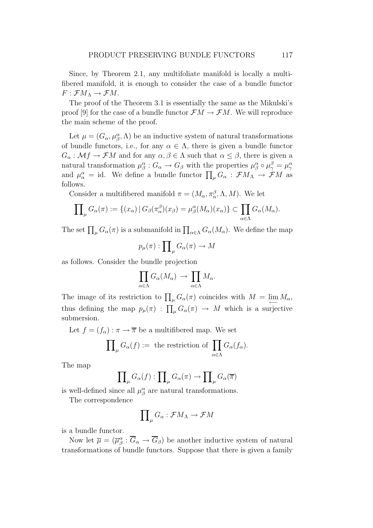Since, by Theorem 2.1, any multifoliate manifold is locally a multifibered manifold, it is enough to consider the case of a bundle functor  $F: \mathcal{F}M_A \to \mathcal{F}M$ .

The proof of the Theorem 3.1 is essentially the same as the Mikulski's proof [9] for the case of a bundle functor  $\mathcal{F}M \to \mathcal{F}M$ . We will reproduce the main scheme of the proof.

Let  $\mu = (G_{\alpha}, \mu_{\beta}^{\alpha}, \Lambda)$  be an inductive system of natural transformations of bundle functors, i.e., for any  $\alpha \in \Lambda$ , there is given a bundle functor  $G_{\alpha}: \mathcal{M}f \to \mathcal{F}M$  and for any  $\alpha, \beta \in \Lambda$  such that  $\alpha \leq \beta$ , there is given a natural transformation  $\mu_{\beta}^{\alpha}: G_{\alpha} \to G_{\beta}$  with the properties  $\mu_{\beta}^{\alpha} \circ \mu_{\gamma}^{\beta} = \mu_{\gamma}^{\alpha}$ and  $\mu_{\alpha}^{\alpha} = id$ . We define a bundle functor  $\prod_{\mu} G_{\alpha} : \mathcal{F}M_{\Lambda} \to \mathcal{F}M$  as follows.

Consider a multifibered manifold  $\pi = (M_{\alpha}, \pi_{\alpha}^{\beta}, \Lambda, M)$ . We let

$$
\prod_{\mu} G_{\alpha}(\pi) := \{ (x_{\alpha}) \mid G_{\beta}(\pi_{\alpha}^{\beta})(x_{\beta}) = \mu_{\beta}^{\alpha}(M_{\alpha})(x_{\alpha}) \} \subset \prod_{\alpha \in \Lambda} G_{\alpha}(M_{\alpha}).
$$

The set  $\prod_{\mu} G_{\alpha}(\pi)$  is a submanifold in  $\prod_{\alpha \in \Lambda} G_{\alpha}(M_{\alpha})$ . We define the map

$$
p_\mu(\pi):\prod_\mu G_\alpha(\pi)\to M
$$

as follows. Consider the bundle projection

$$
\prod_{\alpha \in \Lambda} G_{\alpha}(M_{\alpha}) \rightarrow \prod_{\alpha \in \Lambda} M_{\alpha}.
$$

The image of its restriction to  $\prod_{\mu} G_{\alpha}(\pi)$  coincides with  $M = \lim_{\longleftarrow} M_{\alpha}$ , thus defining the map  $p_{\mu}(\pi)$ :  $\prod_{\mu} G_{\alpha}(\pi) \rightarrow M$  which is a surjective submersion.

Let  $f = (f_{\alpha}) : \pi \to \overline{\pi}$  be a multifibered map. We set

$$
\prod_{\mu} G_{\alpha}(f) := \text{ the restriction of } \prod_{\alpha \in \Lambda} G_{\alpha}(f_{\alpha}).
$$

The map

$$
\prod_{\mu} G_{\alpha}(f) : \prod_{\mu} G_{\alpha}(\pi) \to \prod_{\mu} G_{\alpha}(\overline{\pi})
$$

is well-defined since all  $\mu^{\alpha}_{\beta}$  are natural transformations.

The correspondence

$$
\prod\nolimits_{\mu} G_{\alpha} : \mathcal{F}M_{\Lambda} \to \mathcal{F}M
$$

is a bundle functor.

Now let  $\overline{\mu} = (\overline{\mu}_{\beta}^{\alpha} : \overline{G}_{\alpha} \to \overline{G}_{\beta})$  be another inductive system of natural transformations of bundle functors. Suppose that there is given a family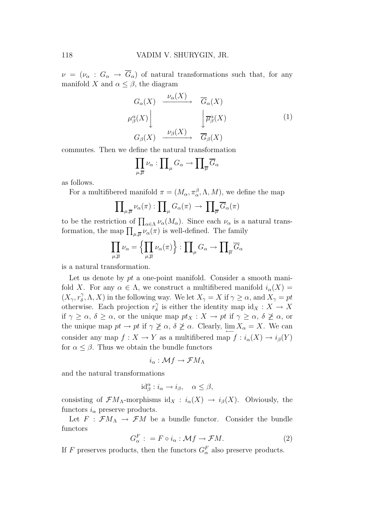$\nu = (\nu_{\alpha} : G_{\alpha} \to \overline{G}_{\alpha})$  of natural transformations such that, for any manifold X and  $\alpha \leq \beta$ , the diagram

$$
G_{\alpha}(X) \xrightarrow{\nu_{\alpha}(X)} \overline{G}_{\alpha}(X)
$$
  

$$
\mu_{\beta}^{\alpha}(X) \Bigg\downarrow \qquad \qquad \boxed{\overline{\mu}_{\beta}^{\alpha}(X)} \qquad (1)
$$
  

$$
G_{\beta}(X) \xrightarrow{\nu_{\beta}(X)} \overline{G}_{\beta}(X)
$$

commutes. Then we define the natural transformation

$$
\prod_{\mu,\overline{\mu}}\nu_{\alpha}:\prod_{\mu}G_{\alpha}\to\prod_{\overline{\mu}}\overline{G}_{\alpha}
$$

as follows.

For a multifibered manifold  $\pi = (M_{\alpha}, \pi_{\alpha}^{\beta}, \Lambda, M)$ , we define the map

$$
\prod\nolimits_{\mu,\overline\mu}\nu_{\alpha}(\pi):\prod\nolimits_{\mu}G_{\alpha}(\pi)\,\rightarrow\,\prod\nolimits_{\overline\mu}\overline G_{\alpha}(\pi)
$$

to be the restriction of  $\prod_{\alpha \in \Lambda} \nu_{\alpha}(M_{\alpha})$ . Since each  $\nu_{\alpha}$  is a natural transformation, the map  $\prod_{\mu,\overline{\mu}}\nu_{\alpha}(\pi)$  is well-defined. The family

$$
\prod_{\mu,\overline{\mu}}\nu_{\alpha} = \left\{\prod_{\mu,\overline{\mu}}\nu_{\alpha}(\pi)\right\} : \prod_{\mu}\overline{G}_{\alpha} \to \prod_{\overline{\mu}}\overline{G}_{\alpha}
$$

is a natural transformation.

Let us denote by  $pt$  a one-point manifold. Consider a smooth manifold X. For any  $\alpha \in \Lambda$ , we construct a multifibered manifold  $i_{\alpha}(X) =$  $(X_\gamma, r^\gamma_\delta)$  $(\gamma_0^{\gamma}, \Lambda, X)$  in the following way. We let  $X_{\gamma} = X$  if  $\gamma \geq \alpha$ , and  $X_{\gamma} = pt$ otherwise. Each projection  $r_{\delta}^{\gamma}$  $\delta$  is either the identity map  $\mathrm{id}_X : X \to X$ if  $\gamma \geq \alpha$ ,  $\delta \geq \alpha$ , or the unique map  $pt_X : X \to pt$  if  $\gamma \geq \alpha$ ,  $\delta \not\geq \alpha$ , or the unique map  $pt \to pt$  if  $\gamma \not\geq \alpha$ ,  $\delta \not\geq \alpha$ . Clearly,  $\lim_{\longleftrightarrow} X_{\alpha} = X$ . We can consider any map  $f: X \to Y$  as a multifibered map  $f: i_{\alpha}(X) \to i_{\beta}(Y)$ for  $\alpha \leq \beta$ . Thus we obtain the bundle functors

$$
i_{\alpha}: \mathcal{M}f \to \mathcal{F}M_{\Lambda}
$$

and the natural transformations

$$
id_{\beta}^{\alpha} : i_{\alpha} \to i_{\beta}, \quad \alpha \leq \beta,
$$

consisting of  $\mathcal{F}M_{\Lambda}$ -morphisms id<sub>X</sub> :  $i_{\alpha}(X) \to i_{\beta}(X)$ . Obviously, the functors  $i_{\alpha}$  preserve products.

Let  $F : \mathcal{F}M_A \to \mathcal{F}M$  be a bundle functor. Consider the bundle functors

$$
G_{\alpha}^{F} : = F \circ i_{\alpha} : \mathcal{M}f \to \mathcal{F}M. \tag{2}
$$

If F preserves products, then the functors  $G_{\alpha}^{F}$  also preserve products.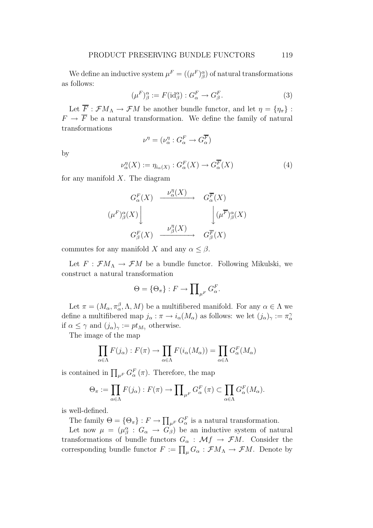We define an inductive system  $\mu^F = ((\mu^F)_\beta^\alpha)$  of natural transformations as follows:

$$
(\mu^F)^\alpha_\beta := F(\mathrm{id}^\alpha_\beta) : G^F_\alpha \to G^F_\beta. \tag{3}
$$

Let  $\overline{F}$ :  $\mathcal{F}M_A \to \mathcal{F}M$  be another bundle functor, and let  $\eta = {\eta_{\pi}}$ :  $F \to \overline{F}$  be a natural transformation. We define the family of natural transformations

$$
\nu^{\eta} = (\nu_{\alpha}^{\eta} : G_{\alpha}^{F} \to G_{\alpha}^{\overline{F}})
$$

by

$$
\nu_{\alpha}^{\eta}(X) := \eta_{i_{\alpha}(X)} : G_{\alpha}^{F}(X) \to G_{\alpha}^{\overline{F}}(X)
$$
\n(4)

for any manifold  $X$ . The diagram

$$
\begin{array}{ccc}\nG_{\alpha}^{F}(X) & \xrightarrow{\nu_{\alpha}^{\eta}(X)} & G_{\alpha}^{\overline{F}}(X) \\
(\mu^{F})_{\beta}^{\alpha}(X) & & \downarrow_{\beta}^{\eta}(X) \\
G_{\beta}^{F}(X) & \xrightarrow{\nu_{\beta}^{\eta}(X)} & G_{\beta}^{\overline{F}}(X)\n\end{array}
$$

commutes for any manifold X and any  $\alpha \leq \beta$ .

Let  $F : \mathcal{F}M_A \to \mathcal{F}M$  be a bundle functor. Following Mikulski, we construct a natural transformation

$$
\Theta = \{\Theta_{\pi}\} : F \to \prod_{\mu^F} G_{\alpha}^F.
$$

Let  $\pi = (M_{\alpha}, \pi_{\alpha}^{\beta}, \Lambda, M)$  be a multifibered manifold. For any  $\alpha \in \Lambda$  we define a multifibered map  $j_{\alpha} : \pi \to i_{\alpha}(M_{\alpha})$  as follows: we let  $(j_{\alpha})_{\gamma} := \pi_{\alpha}^{\gamma}$ if  $\alpha \leq \gamma$  and  $(j_{\alpha})_{\gamma} := pt_{M_{\gamma}}$  otherwise.

The image of the map

$$
\prod_{\alpha \in \Lambda} F(j_{\alpha}) : F(\pi) \to \prod_{\alpha \in \Lambda} F(i_{\alpha}(M_{\alpha})) = \prod_{\alpha \in \Lambda} G_{\alpha}^{F}(M_{\alpha})
$$

is contained in  $\prod_{\mu^F} G_{\alpha}^F(\pi)$ . Therefore, the map

$$
\Theta_{\pi} := \prod_{\alpha \in \Lambda} F(j_{\alpha}) : F(\pi) \to \prod_{\mu^{F}} G_{\alpha}^{F}(\pi) \subset \prod_{\alpha \in \Lambda} G_{\alpha}^{F}(M_{\alpha}).
$$

is well-defined.

The family  $\Theta = \{\Theta_{\pi}\}: F \to \prod_{\mu^F} G_{\alpha}^F$  is a natural transformation.

Let now  $\mu = (\mu_{\beta}^{\alpha} : G_{\alpha} \to G_{\beta})$  be an inductive system of natural transformations of bundle functors  $G_{\alpha} : \mathcal{M}f \to \mathcal{F}M$ . Consider the corresponding bundle functor  $F := \prod_{\mu} G_{\alpha} : \mathcal{F}M_{\Lambda} \to \mathcal{F}M$ . Denote by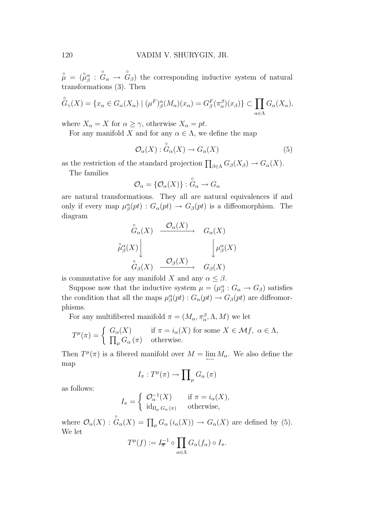$\stackrel{\circ}{\mu} = (\stackrel{\circ}{\mu}_{\beta}^{\alpha}$ : ◦  $G_{\alpha} \rightarrow$ ◦  $G_{\beta}$ ) the corresponding inductive system of natural transformations (3). Then

$$
\overset{\circ}{G}_{\gamma}(X) = \{x_{\alpha} \in G_{\alpha}(X_{\alpha}) \mid (\mu^F)^{\alpha}_{\beta}(M_{\alpha})(x_{\alpha}) = G^F_{\beta}(\pi^{\beta}_{\alpha})(x_{\beta})\} \subset \prod_{\alpha \in \Lambda} G_{\alpha}(X_{\alpha}),
$$

where  $X_{\alpha} = X$  for  $\alpha \geq \gamma$ , otherwise  $X_{\alpha} = pt$ .

For any manifold X and for any  $\alpha \in \Lambda$ , we define the map ◦

$$
\mathcal{O}_{\alpha}(X) : G_{\alpha}(X) \to G_{\alpha}(X) \tag{5}
$$

as the restriction of the standard projection  $\prod_{\beta \in \Lambda} G_{\beta}(X_{\beta}) \to G_{\alpha}(X)$ .

The families

$$
\mathcal{O}_{\alpha} = \{ \mathcal{O}_{\alpha}(X) \} : \overset{\circ}{G}_{\alpha} \to G_{\alpha}
$$

are natural transformations. They all are natural equivalences if and only if every map  $\mu^{\alpha}_{\beta}(pt) : G_{\alpha}(pt) \to G_{\beta}(pt)$  is a diffeomorphism. The diagram

$$
\begin{array}{ccc}\n\stackrel{\circ}{G}_{\alpha}(X) & \xrightarrow{\mathcal{O}_{\alpha}(X)} & G_{\alpha}(X) \\
\downarrow^{\alpha}_{\beta}(X) & & \downarrow^{\alpha}_{\beta}(X) \\
\stackrel{\circ}{G}_{\beta}(X) & \xrightarrow{\mathcal{O}_{\beta}(X)} & G_{\beta}(X)\n\end{array}
$$

is commutative for any manifold X and any  $\alpha \leq \beta$ .

Suppose now that the inductive system  $\mu = (\mu^{\alpha}_{\beta} : G_{\alpha} \to G_{\beta})$  satisfies the condition that all the maps  $\mu_{\beta}^{\alpha}(pt) : G_{\alpha}(pt) \to G_{\beta}(pt)$  are diffeomorphisms.

For any multifibered manifold  $\pi = (M_\alpha, \pi_\alpha^\beta, \Lambda, M)$  we let

$$
T^{\mu}(\pi) = \begin{cases} G_{\alpha}(X) & \text{if } \pi = i_{\alpha}(X) \text{ for some } X \in \mathcal{M}f, \ \alpha \in \Lambda, \\ \prod_{\mu} G_{\alpha}(\pi) & \text{otherwise.} \end{cases}
$$

Then  $T^{\mu}(\pi)$  is a fibered manifold over  $M = \lim_{\longleftarrow} M_{\alpha}$ . We also define the map

$$
I_{\pi}:T^{\mu}(\pi)\to\prod_{\mu}G_{\alpha}\left(\pi\right)
$$

as follows:

$$
I_{\pi} = \begin{cases} \mathcal{O}_{\alpha}^{-1}(X) & \text{if } \pi = i_{\alpha}(X), \\ \mathrm{id}_{\Pi_{\mu} G_{\alpha}(\pi)} & \text{otherwise,} \end{cases}
$$

where  $\mathcal{O}_{\alpha}(X)$  :  $\overset{\circ}{G}_{\alpha}(X) = \prod_{\mu} G_{\alpha} (i_{\alpha}(X)) \rightarrow G_{\alpha}(X)$  are defined by (5). We let

$$
T^{\mu}(f) := I_{\overline{\pi}}^{-1} \circ \prod_{\alpha \in \Lambda} G_{\alpha}(f_{\alpha}) \circ I_{\pi}.
$$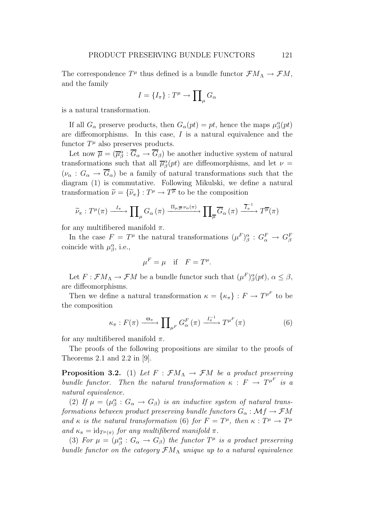The correspondence  $T^{\mu}$  thus defined is a bundle functor  $\mathcal{F}M_{\Lambda} \to \mathcal{F}M$ , and the family

$$
I = \{I_{\pi}\} : T^{\mu} \to \prod_{\mu} G_{\alpha}
$$

is a natural transformation.

If all  $G_{\alpha}$  preserve products, then  $G_{\alpha}(pt) = pt$ , hence the maps  $\mu^{\alpha}_{\beta}(pt)$ are diffeomorphisms. In this case, I is a natural equivalence and the functor  $T^{\mu}$  also preserves products.

Let now  $\overline{\mu} = (\overline{\mu}_{\beta}^{\alpha} : \overline{G}_{\alpha} \to \overline{G}_{\beta})$  be another inductive system of natural transformations such that all  $\overline{\mu}_{\beta}^{\alpha}(pt)$  are diffeomorphisms, and let  $\nu =$  $(\nu_{\alpha}: G_{\alpha} \to \overline{G}_{\alpha})$  be a family of natural transformations such that the diagram (1) is commutative. Following Mikulski, we define a natural transformation  $\tilde{\nu} = {\{\tilde{\nu}_{\pi}\}} : T^{\mu} \to T^{\overline{\mu}}$  to be the composition

$$
\widetilde{\nu}_{\pi}: T^{\mu}(\pi) \xrightarrow{I_{\pi}} \prod_{\mu} G_{\alpha}(\pi) \xrightarrow{\Pi_{\mu,\overline{\mu}} \nu_{\alpha}(\pi)} \prod_{\overline{\mu}} \overline{G}_{\alpha}(\pi) \xrightarrow{\overline{I}_{\pi}^{-1}} T^{\overline{\mu}}(\pi)
$$

for any multifibered manifold  $\pi$ .

In the case  $F = T^{\mu}$  the natural transformations  $(\mu^F)_{\beta}^{\alpha} : G_{\alpha}^F \to G_{\beta}^F$ coincide with  $\mu_{\beta}^{\alpha}$ , i.e.,

$$
\mu^F = \mu \quad \text{if} \quad F = T^{\mu}.
$$

Let  $F: \mathcal{F}M_A \to \mathcal{F}M$  be a bundle functor such that  $(\mu^F)_{\beta}^{\alpha}(pt), \alpha \leq \beta$ , are diffeomorphisms.

Then we define a natural transformation  $\kappa = {\kappa_{\pi}} : F \to T^{\mu^F}$  to be the composition

$$
\kappa_{\pi}: F(\pi) \xrightarrow{\Theta_{\pi}} \prod_{\mu^{F}} G_{\alpha}^{F}(\pi) \xrightarrow{I_{\pi}^{-1}} T^{\mu^{F}}(\pi)
$$
 (6)

for any multifibered manifold  $\pi$ .

The proofs of the following propositions are similar to the proofs of Theorems 2.1 and 2.2 in [9].

**Proposition 3.2.** (1) Let  $F : \mathcal{F}M_A \to \mathcal{F}M$  be a product preserving bundle functor. Then the natural transformation  $\kappa : F \to T^{\mu^F}$  is a natural equivalence.

(2) If  $\mu = (\mu^{\alpha}_{\beta}: G_{\alpha} \to G_{\beta})$  is an inductive system of natural transformations between product preserving bundle functors  $G_{\alpha}: \mathcal{M}f \to \mathcal{F}M$ and  $\kappa$  is the natural transformation (6) for  $F = T^{\mu}$ , then  $\kappa : T^{\mu} \to T^{\mu}$ and  $\kappa_{\pi} = \mathrm{id}_{T^{\mu}(\pi)}$  for any multifibered manifold  $\pi$ .

(3) For  $\mu = (\mu_{\beta}^{\alpha}: G_{\alpha} \to G_{\beta})$  the functor  $T^{\mu}$  is a product preserving bundle functor on the category  $\mathcal{F}M_{\Lambda}$  unique up to a natural equivalence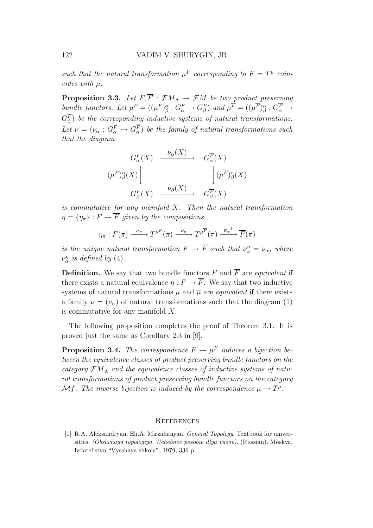such that the natural transformation  $\mu^F$  corresponding to  $F = T^{\mu}$  coincides with µ.

**Proposition 3.3.** Let  $F, \overline{F}$  :  $\mathcal{F}M_A \rightarrow \mathcal{F}M$  be two product preserving bundle functors. Let  $\mu^F = ((\mu^F)_\beta^\alpha : G_\alpha^F \to G_\beta^F)$  and  $\mu^F = ((\mu^F)_\beta^\alpha : G_\alpha^F \to G_\beta^F)$  $G_{\beta}^F)$  be the corresponding inductive systems of natural transformations. Let  $\nu = (\nu_{\alpha}: G_{\alpha}^F \to G_{\alpha}^F)$  be the family of natural transformations such that the diagram

$$
G_{\alpha}^{F}(X) \xrightarrow{\nu_{\alpha}(X)} G_{\alpha}^{F}(X)
$$

$$
(\mu^{F})_{\beta}^{\alpha}(X) \Bigg| \qquad \qquad \downarrow \mu^{F}^{\alpha}(X)
$$

$$
G_{\beta}^{F}(X) \xrightarrow{\nu_{\beta}(X)} G_{\beta}^{F}(X)
$$

is commutative for any manifold X. Then the natural transformation  $\eta = \{\eta_{\pi}\}: F \to \overline{F}$  given by the compositions

$$
\eta_{\pi}: F(\pi) \xrightarrow{\kappa_{\pi}} T^{\mu^F}(\pi) \xrightarrow{\tilde{\nu}_{\pi}} T^{\mu^F}(\pi) \xrightarrow{\overline{\kappa}_{\pi}^{-1}} \overline{F}(\pi)
$$

is the unique natural transformation  $F \to \overline{F}$  such that  $\nu_{\alpha}^{\eta} = \nu_{\alpha}$ , where  $\nu_{\alpha}^{\eta}$  is defined by (4).

**Definition.** We say that two bundle functors F and  $\overline{F}$  are *equivalent* if there exists a natural equivalence  $\eta : F \to \overline{F}$ . We say that two inductive systems of natural transformations  $\mu$  and  $\overline{\mu}$  are *equivalent* if there exists a family  $\nu = (\nu_{\alpha})$  of natural transformations such that the diagram (1) is commutative for any manifold X.

The following proposition completes the proof of Theorem 3.1. It is proved just the same as Corollary 2.3 in [9].

**Proposition 3.4.** The correspondence  $F \to \mu^F$  induces a bijection between the equivalence classes of product preserving bundle functors on the category  $\mathcal{F}M_{\Lambda}$  and the equivalence classes of inductive systems of natural transformations of product preserving bundle functors on the category Mf. The inverse bijection is induced by the correspondence  $\mu \to T^{\mu}$ .

#### **REFERENCES**

[1] R.A. Aleksandryan, Eh.A. Mirzahanyan, General Topology. Textbook for universities. (Obshchaya topologiya. Uchebnoe posobie dlya vuzov). (Russian). Moskva, Izdatel'stvo "Vysshaya shkola", 1979, 336 p.